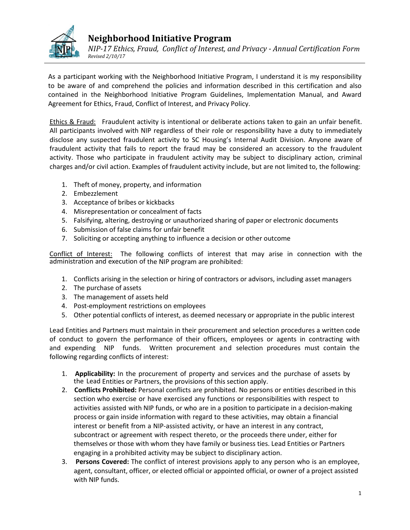

# **Neighborhood Initiative Program**

*NIP-17 Ethics, Fraud, Conflict of Interest, and Privacy - Annual Certification Form Revised 2/10/17*

As a participant working with the Neighborhood Initiative Program, I understand it is my responsibility to be aware of and comprehend the policies and information described in this certification and also contained in the Neighborhood Initiative Program Guidelines, Implementation Manual, and Award Agreement for Ethics, Fraud, Conflict of Interest, and Privacy Policy.

Ethics & Fraud: Fraudulent activity is intentional or deliberate actions taken to gain an unfair benefit. All participants involved with NIP regardless of their role or responsibility have a duty to immediately disclose any suspected fraudulent activity to SC Housing's Internal Audit Division. Anyone aware of fraudulent activity that fails to report the fraud may be considered an accessory to the fraudulent activity. Those who participate in fraudulent activity may be subject to disciplinary action, criminal charges and/or civil action. Examples of fraudulent activity include, but are not limited to, the following:

- 1. Theft of money, property, and information
- 2. Embezzlement
- 3. Acceptance of bribes or kickbacks
- 4. Misrepresentation or concealment of facts
- 5. Falsifying, altering, destroying or unauthorized sharing of paper or electronic documents
- 6. Submission of false claims for unfair benefit
- 7. Soliciting or accepting anything to influence a decision or other outcome

Conflict of Interest: The following conflicts of interest that may arise in connection with the administration and execution of the NIP program are prohibited:

- 1. Conflicts arising in the selection or hiring of contractors or advisors, including asset managers
- 2. The purchase of assets
- 3. The management of assets held
- 4. Post-employment restrictions on employees
- 5. Other potential conflicts of interest, as deemed necessary or appropriate in the public interest

Lead Entities and Partners must maintain in their procurement and selection procedures a written code of conduct to govern the performance of their officers, employees or agents in contracting with and expending NIP funds. Written procurement and selection procedures must contain the following regarding conflicts of interest:

- 1. **Applicability:** In the procurement of property and services and the purchase of assets by the Lead Entities or Partners, the provisions of this section apply.
- 2. **Conflicts Prohibited:** Personal conflicts are prohibited. No persons or entities described in this section who exercise or have exercised any functions or responsibilities with respect to activities assisted with NIP funds, or who are in a position to participate in a decision-making process or gain inside information with regard to these activities, may obtain a financial interest or benefit from a NIP-assisted activity, or have an interest in any contract, subcontract or agreement with respect thereto, or the proceeds there under, either for themselves or those with whom they have family or business ties. Lead Entities or Partners engaging in a prohibited activity may be subject to disciplinary action.
- 3. **Persons Covered:** The conflict of interest provisions apply to any person who is an employee, agent, consultant, officer, or elected official or appointed official, or owner of a project assisted with NIP funds.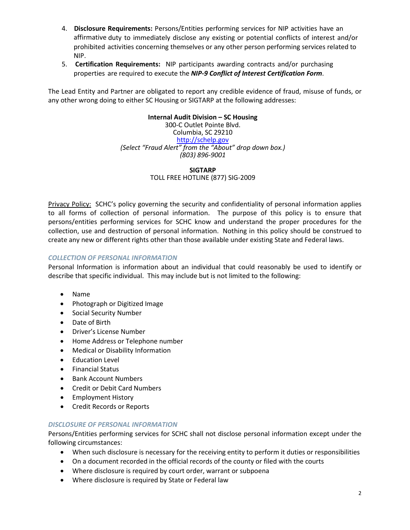- 4. **Disclosure Requirements:** Persons/Entities performing services for NIP activities have an affirmative duty to immediately disclose any existing or potential conflicts of interest and/or prohibited activities concerning themselves or any other person performing services related to NIP.
- 5. **Certification Requirements:** NIP participants awarding contracts and/or purchasing properties are required to execute the *NIP-9 Conflict of Interest Certification Form*.

The Lead Entity and Partner are obligated to report any credible evidence of fraud, misuse of funds, or any other wrong doing to either SC Housing or SIGTARP at the following addresses:

### **Internal Audit Division – SC Housing**

300-C Outlet Pointe Blvd. Columbia, SC 29210 [http://schelp.gov](http://schelp.gov/) *(Select "Fraud Alert" from the "About" drop down box.) (803) 896-9001*

> **SIGTARP** TOLL FREE HOTLINE (877) SIG-2009

Privacy Policy: SCHC's policy governing the security and confidentiality of personal information applies to all forms of collection of personal information. The purpose of this policy is to ensure that persons/entities performing services for SCHC know and understand the proper procedures for the collection, use and destruction of personal information. Nothing in this policy should be construed to create any new or different rights other than those available under existing State and Federal laws.

## *COLLECTION OF PERSONAL INFORMATION*

Personal Information is information about an individual that could reasonably be used to identify or describe that specific individual. This may include but is not limited to the following:

- Name
- Photograph or Digitized Image
- Social Security Number
- Date of Birth
- Driver's License Number
- Home Address or Telephone number
- Medical or Disability Information
- Education Level
- Financial Status
- Bank Account Numbers
- Credit or Debit Card Numbers
- Employment History
- Credit Records or Reports

### *DISCLOSURE OF PERSONAL INFORMATION*

Persons/Entities performing services for SCHC shall not disclose personal information except under the following circumstances:

- When such disclosure is necessary for the receiving entity to perform it duties or responsibilities
- On a document recorded in the official records of the county or filed with the courts
- Where disclosure is required by court order, warrant or subpoena
- Where disclosure is required by State or Federal law